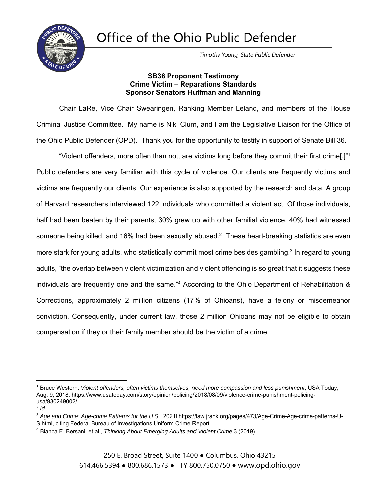Office of the Ohio Public Defender



Timothy Young, State Public Defender

## **SB36 Proponent Testimony Crime Victim – Reparations Standards Sponsor Senators Huffman and Manning**

Chair LaRe, Vice Chair Swearingen, Ranking Member Leland, and members of the House Criminal Justice Committee. My name is Niki Clum, and I am the Legislative Liaison for the Office of the Ohio Public Defender (OPD). Thank you for the opportunity to testify in support of Senate Bill 36.

"Violent offenders, more often than not, are victims long before they commit their first crime[.]"1 Public defenders are very familiar with this cycle of violence. Our clients are frequently victims and victims are frequently our clients. Our experience is also supported by the research and data. A group of Harvard researchers interviewed 122 individuals who committed a violent act. Of those individuals, half had been beaten by their parents, 30% grew up with other familial violence, 40% had witnessed someone being killed, and 16% had been sexually abused.<sup>2</sup> These heart-breaking statistics are even more stark for young adults, who statistically commit most crime besides gambling.3 In regard to young adults, "the overlap between violent victimization and violent offending is so great that it suggests these individuals are frequently one and the same."4 According to the Ohio Department of Rehabilitation & Corrections, approximately 2 million citizens (17% of Ohioans), have a felony or misdemeanor conviction. Consequently, under current law, those 2 million Ohioans may not be eligible to obtain compensation if they or their family member should be the victim of a crime.

<sup>1</sup> Bruce Western, *Violent offenders, often victims themselves, need more compassion and less punishment*, USA Today, Aug. 9, 2018, https://www.usatoday.com/story/opinion/policing/2018/08/09/violence-crime-punishment-policingusa/930249002/.

 $2$  *Id.* 

<sup>3</sup> *Age and Crime: Age-crime Patterns for the U.S.*, 2021l https://law.jrank.org/pages/473/Age-Crime-Age-crime-patterns-U-S.html, citing Federal Bureau of Investigations Uniform Crime Report

<sup>4</sup> Bianca E. Bersani, et al., *Thinking About Emerging Adults and Violent Crime* 3 (2019).